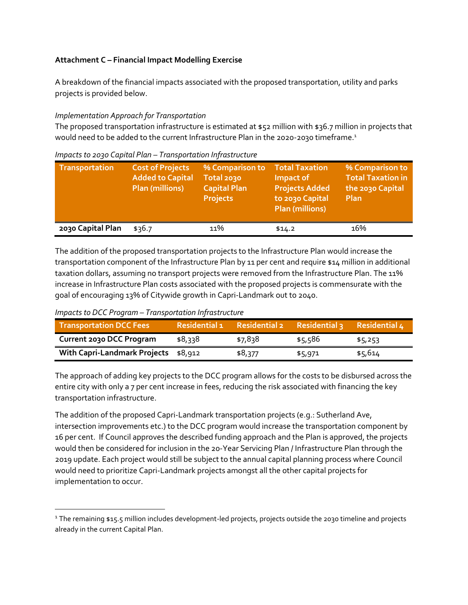# **Attachment C – Financial Impact Modelling Exercise**

A breakdown of the financial impacts associated with the proposed transportation, utility and parks projects is provided below.

## *Implementation Approach for Transportation*

The proposed transportation infrastructure is estimated at \$52 million with \$36.7 million in projects that would need to be added to the current Infrastructure Plan in the 2020-2030 timeframe.<sup>1</sup>

| <b>Transportation</b> | <b>Cost of Projects</b><br><b>Added to Capital</b><br><b>Plan (millions)</b> | % Comparison to<br>Total 2030<br><b>Capital Plan</b><br><b>Projects</b> | <b>Total Taxation</b><br>Impact of<br><b>Projects Added</b><br>to 2030 Capital<br><b>Plan (millions)</b> | % Comparison to<br><b>Total Taxation in</b><br>the 2030 Capital<br><b>Plan</b> |
|-----------------------|------------------------------------------------------------------------------|-------------------------------------------------------------------------|----------------------------------------------------------------------------------------------------------|--------------------------------------------------------------------------------|
| 2030 Capital Plan     | \$36.7                                                                       | 11%                                                                     | \$14.2                                                                                                   | 16%                                                                            |

*Impacts to 2030 Capital Plan – Transportation Infrastructure* 

The addition of the proposed transportation projects to the Infrastructure Plan would increase the transportation component of the Infrastructure Plan by 11 per cent and require \$14 million in additional taxation dollars, assuming no transport projects were removed from the Infrastructure Plan. The 11% increase in Infrastructure Plan costs associated with the proposed projects is commensurate with the goal of encouraging 13% of Citywide growth in Capri-Landmark out to 2040.

## *Impacts to DCC Program – Transportation Infrastructure*

| Transportation DCC Fees              | Residential 1 | Residential 2 Residential 3 |         | Residential 4 |
|--------------------------------------|---------------|-----------------------------|---------|---------------|
| <b>Current 2030 DCC Program</b>      | \$8,338       | \$7,838                     | \$5,586 | \$5,253       |
| With Capri-Landmark Projects \$8,912 |               | \$8,377                     | \$5,971 | \$5,614       |

The approach of adding key projects to the DCC program allows for the costs to be disbursed across the entire city with only a 7 per cent increase in fees, reducing the risk associated with financing the key transportation infrastructure.

The addition of the proposed Capri-Landmark transportation projects (e.g.: Sutherland Ave, intersection improvements etc.) to the DCC program would increase the transportation component by 16 per cent. If Council approves the described funding approach and the Plan is approved, the projects would then be considered for inclusion in the 20-Year Servicing Plan / Infrastructure Plan through the 2019 update. Each project would still be subject to the annual capital planning process where Council would need to prioritize Capri-Landmark projects amongst all the other capital projects for implementation to occur.

<sup>1</sup> The remaining \$15.5 million includes development-led projects, projects outside the 2030 timeline and projects already in the current Capital Plan.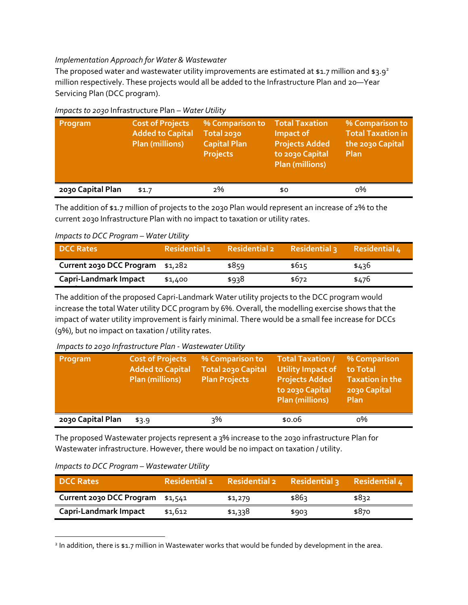## *Implementation Approach for Water & Wastewater*

The proposed water and wastewater utility improvements are estimated at \$1.7 million and \$3.9<sup>2</sup> million respectively. These projects would all be added to the Infrastructure Plan and 20—Year Servicing Plan (DCC program).

| Program           | <b>Cost of Projects</b><br><b>Added to Capital</b><br><b>Plan (millions)</b> | % Comparison to<br>Total 2030<br><b>Capital Plan</b><br><b>Projects</b> | <b>Total Taxation</b><br>Impact of<br><b>Projects Added</b><br>to 2030 Capital<br><b>Plan (millions)</b> | % Comparison to<br><b>Total Taxation in</b><br>the 2030 Capital<br>Plan |
|-------------------|------------------------------------------------------------------------------|-------------------------------------------------------------------------|----------------------------------------------------------------------------------------------------------|-------------------------------------------------------------------------|
| 2030 Capital Plan | \$1.7                                                                        | 2%                                                                      | \$0                                                                                                      | о%                                                                      |

## *Impacts to 2030* Infrastructure Plan *– Water Utility*

The addition of \$1.7 million of projects to the 2030 Plan would represent an increase of 2% to the current 2030 Infrastructure Plan with no impact to taxation or utility rates.

## *Impacts to DCC Program – Water Utility*

| <b>DCC Rates</b>                 | <b>Residential 1</b> | <b>Residential 2</b> | <b>Residential 3</b> | <b>Residential 4</b> |
|----------------------------------|----------------------|----------------------|----------------------|----------------------|
| Current 2030 DCC Program \$1,282 |                      | \$859                | \$615                | \$436                |
| Capri-Landmark Impact            | \$1,400              | \$938                | \$672                | \$476                |

**(9% increase)** The addition of the proposed Capri-Landmark Water utility projects to the DCC program would increase the total Water utility DCC program by 6%. Overall, the modelling exercise shows that the impact of water utility improvement is fairly minimal. There would be a small fee increase for DCCs (9%), but no impact on taxation / utility rates.

### *Impacts to 2030 Infrastructure Plan - Wastewater Utility*

| Program           | <b>Cost of Projects</b><br><b>Added to Capital</b><br><b>Plan (millions)</b> | % Comparison to<br><b>Total 2030 Capital</b><br><b>Plan Projects</b> | Total Taxation /<br><b>Utility Impact of</b><br><b>Projects Added</b><br>to 2030 Capital<br><b>Plan (millions)</b> | % Comparison<br>to Total<br><b>Taxation in the</b><br>2030 Capital<br>Plan |
|-------------------|------------------------------------------------------------------------------|----------------------------------------------------------------------|--------------------------------------------------------------------------------------------------------------------|----------------------------------------------------------------------------|
| 2030 Capital Plan | \$3.9                                                                        | २%                                                                   | \$0.06                                                                                                             | о%                                                                         |

The proposed Wastewater projects represent a 3% increase to the 2030 infrastructure Plan for Wastewater infrastructure. However, there would be no impact on taxation / utility.

### *Impacts to DCC Program – Wastewater Utility*

| <b>DCC Rates</b>                 | <b>Residential 1</b> | <b>Residential 2</b> | <b>Residential 3</b> | Residential 4 |
|----------------------------------|----------------------|----------------------|----------------------|---------------|
| Current 2030 DCC Program \$1,541 |                      | \$1,279              | \$86ว                | \$832         |
| <b>Capri-Landmark Impact</b>     | \$1,612              | \$1,338              | \$903                | \$870         |
|                                  |                      |                      |                      |               |

<sup>&</sup>lt;sup>2</sup> In addition, there is \$1.7 million in Wastewater works that would be funded by development in the area.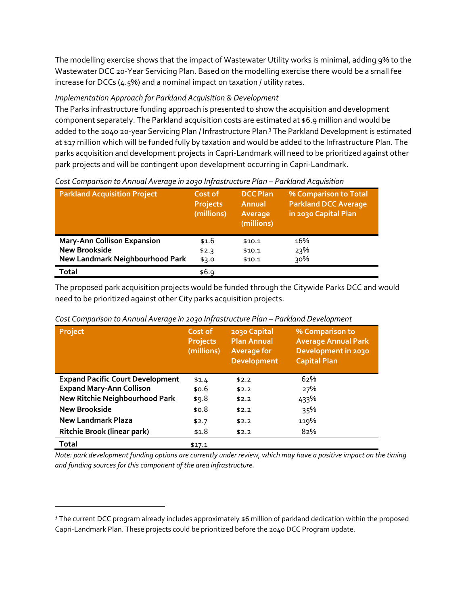The modelling exercise shows that the impact of Wastewater Utility works is minimal, adding 9% to the Wastewater DCC 20-Year Servicing Plan. Based on the modelling exercise there would be a small fee increase for DCCs (4.5%) and a nominal impact on taxation / utility rates.

# *Implementation Approach for Parkland Acquisition & Development*

The Parks infrastructure funding approach is presented to show the acquisition and development component separately. The Parkland acquisition costs are estimated at \$6.9 million and would be added to the 2040 20-year Servicing Plan / Infrastructure Plan. <sup>3</sup> The Parkland Development is estimated at \$17 million which will be funded fully by taxation and would be added to the Infrastructure Plan. The parks acquisition and development projects in Capri-Landmark will need to be prioritized against other park projects and will be contingent upon development occurring in Capri-Landmark.

| <b>Parkland Acquisition Project</b> | Cost of<br><b>Projects</b><br>(millions) | <b>DCC Plan</b><br>Annual<br>Average<br>(millions) | % Comparison to Total<br><b>Parkland DCC Average</b><br>in 2030 Capital Plan |
|-------------------------------------|------------------------------------------|----------------------------------------------------|------------------------------------------------------------------------------|
| <b>Mary-Ann Collison Expansion</b>  | \$1.6                                    | \$10.1                                             | 16%                                                                          |
| <b>New Brookside</b>                | \$2.3                                    | \$10.1                                             | 23%                                                                          |
| New Landmark Neighbourhood Park     | \$3.0                                    | \$10.1                                             | 30%                                                                          |
| <b>Total</b>                        | \$6.9                                    |                                                    |                                                                              |

## *Cost Comparison to Annual Average in 2030 Infrastructure Plan – Parkland Acquisition*

The proposed park acquisition projects would be funded through the Citywide Parks DCC and would need to be prioritized against other City parks acquisition projects.

| Project                                 | Cost of<br><b>Projects</b><br>(millions) | 2030 Capital<br><b>Plan Annual</b><br><b>Average for</b><br><b>Development</b> | % Comparison to<br><b>Average Annual Park</b><br>Development in 2030<br><b>Capital Plan</b> |
|-----------------------------------------|------------------------------------------|--------------------------------------------------------------------------------|---------------------------------------------------------------------------------------------|
| <b>Expand Pacific Court Development</b> | \$1.4                                    | \$2.2                                                                          | 62%                                                                                         |
| <b>Expand Mary-Ann Collison</b>         | \$0.6                                    | \$2.2                                                                          | 27%                                                                                         |
| New Ritchie Neighbourhood Park          | \$9.8                                    | \$2.2                                                                          | 433%                                                                                        |
| <b>New Brookside</b>                    | \$0.8                                    | \$2.2                                                                          | 35%                                                                                         |
| New Landmark Plaza                      | \$2.7                                    | \$2.2                                                                          | 119%                                                                                        |
| <b>Ritchie Brook (linear park)</b>      | \$1.8                                    | \$2.2                                                                          | 82%                                                                                         |
| Total                                   | \$17.1                                   |                                                                                |                                                                                             |

*Cost Comparison to Annual Average in 2030 Infrastructure Plan – Parkland Development* 

*Note: park development funding options are currently under review, which may have a positive impact on the timing and funding sources for this component of the area infrastructure.* 

l

<sup>3</sup> The current DCC program already includes approximately \$6 million of parkland dedication within the proposed Capri-Landmark Plan. These projects could be prioritized before the 2040 DCC Program update.